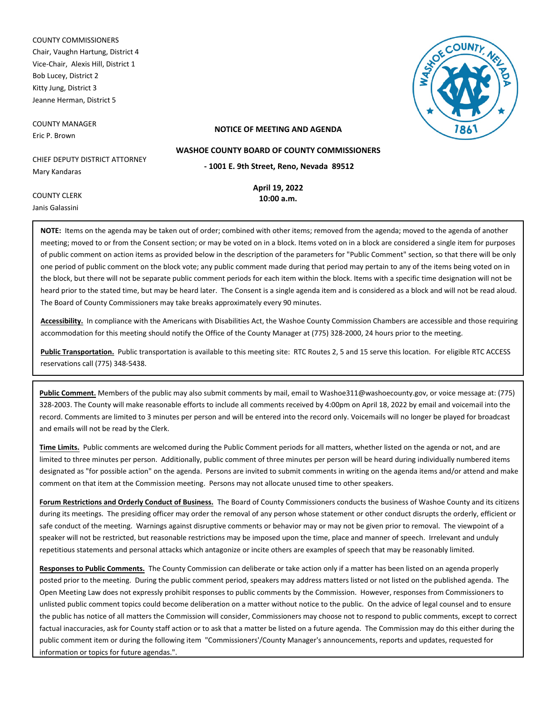COUNTY COMMISSIONERS Chair, Vaughn Hartung, District 4 Vice-Chair, Alexis Hill, District 1 Bob Lucey, District 2 Kitty Jung, District 3 Jeanne Herman, District 5

COUNTY MANAGER Eric P. Brown

COUNTY CLERK Janis Galassini



### **NOTICE OF MEETING AND AGENDA**

**WASHOE COUNTY BOARD OF COUNTY COMMISSIONERS**

CHIEF DEPUTY DISTRICT ATTORNEY Mary Kandaras

**- 1001 E. 9th Street, Reno, Nevada 89512**

**April 19, 2022 10:00 a.m.**

**NOTE:** Items on the agenda may be taken out of order; combined with other items; removed from the agenda; moved to the agenda of another meeting; moved to or from the Consent section; or may be voted on in a block. Items voted on in a block are considered a single item for purposes of public comment on action items as provided below in the description of the parameters for "Public Comment" section, so that there will be only one period of public comment on the block vote; any public comment made during that period may pertain to any of the items being voted on in the block, but there will not be separate public comment periods for each item within the block. Items with a specific time designation will not be heard prior to the stated time, but may be heard later. The Consent is a single agenda item and is considered as a block and will not be read aloud. The Board of County Commissioners may take breaks approximately every 90 minutes.

**Accessibility.** In compliance with the Americans with Disabilities Act, the Washoe County Commission Chambers are accessible and those requiring accommodation for this meeting should notify the Office of the County Manager at (775) 328-2000, 24 hours prior to the meeting.

**Public Transportation.** Public transportation is available to this meeting site: RTC Routes 2, 5 and 15 serve this location. For eligible RTC ACCESS reservations call (775) 348-5438.

**Public Comment.** Members of the public may also submit comments by mail, email to Washoe311@washoecounty.gov, or voice message at: (775) 328-2003. The County will make reasonable efforts to include all comments received by 4:00pm on April 18, 2022 by email and voicemail into the record. Comments are limited to 3 minutes per person and will be entered into the record only. Voicemails will no longer be played for broadcast and emails will not be read by the Clerk.

**Time Limits.** Public comments are welcomed during the Public Comment periods for all matters, whether listed on the agenda or not, and are limited to three minutes per person. Additionally, public comment of three minutes per person will be heard during individually numbered items designated as "for possible action" on the agenda. Persons are invited to submit comments in writing on the agenda items and/or attend and make comment on that item at the Commission meeting. Persons may not allocate unused time to other speakers.

**Forum Restrictions and Orderly Conduct of Business.** The Board of County Commissioners conducts the business of Washoe County and its citizens during its meetings. The presiding officer may order the removal of any person whose statement or other conduct disrupts the orderly, efficient or safe conduct of the meeting. Warnings against disruptive comments or behavior may or may not be given prior to removal. The viewpoint of a speaker will not be restricted, but reasonable restrictions may be imposed upon the time, place and manner of speech. Irrelevant and unduly repetitious statements and personal attacks which antagonize or incite others are examples of speech that may be reasonably limited.

**Responses to Public Comments.** The County Commission can deliberate or take action only if a matter has been listed on an agenda properly posted prior to the meeting. During the public comment period, speakers may address matters listed or not listed on the published agenda. The Open Meeting Law does not expressly prohibit responses to public comments by the Commission. However, responses from Commissioners to unlisted public comment topics could become deliberation on a matter without notice to the public. On the advice of legal counsel and to ensure the public has notice of all matters the Commission will consider, Commissioners may choose not to respond to public comments, except to correct factual inaccuracies, ask for County staff action or to ask that a matter be listed on a future agenda. The Commission may do this either during the public comment item or during the following item "Commissioners'/County Manager's announcements, reports and updates, requested for information or topics for future agendas.".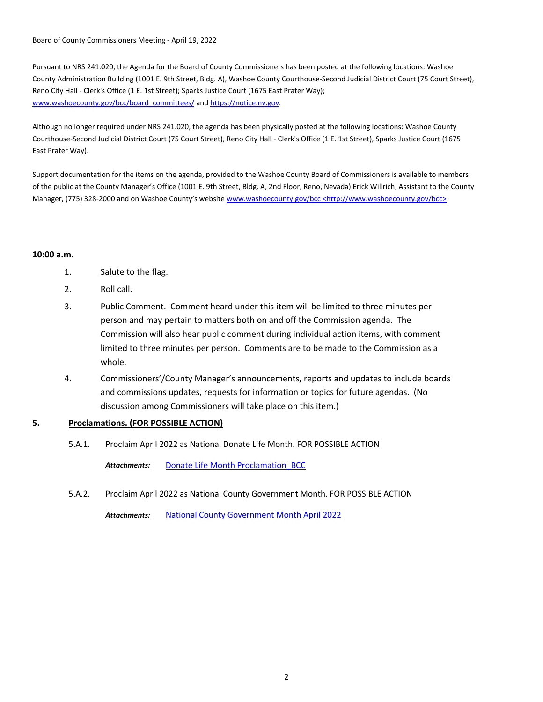Board of County Commissioners Meeting - April 19, 2022

Pursuant to NRS 241.020, the Agenda for the Board of County Commissioners has been posted at the following locations: Washoe County Administration Building (1001 E. 9th Street, Bldg. A), Washoe County Courthouse-Second Judicial District Court (75 Court Street), Reno City Hall - Clerk's Office (1 E. 1st Street); Sparks Justice Court (1675 East Prater Way); www.washoecounty.gov/bcc/board\_committees/ and https://notice.nv.gov.

Although no longer required under NRS 241.020, the agenda has been physically posted at the following locations: Washoe County Courthouse-Second Judicial District Court (75 Court Street), Reno City Hall - Clerk's Office (1 E. 1st Street), Sparks Justice Court (1675 East Prater Way).

Support documentation for the items on the agenda, provided to the Washoe County Board of Commissioners is available to members of the public at the County Manager's Office (1001 E. 9th Street, Bldg. A, 2nd Floor, Reno, Nevada) Erick Willrich, Assistant to the County Manager, (775) 328-2000 and on Washoe County's website www.washoecounty.gov/bcc <http://www.washoecounty.gov/bcc>

## **10:00 a.m.**

- 1. Salute to the flag.
- 2. Roll call.
- 3. Public Comment. Comment heard under this item will be limited to three minutes per person and may pertain to matters both on and off the Commission agenda. The Commission will also hear public comment during individual action items, with comment limited to three minutes per person. Comments are to be made to the Commission as a whole.
- 4. Commissioners'/County Manager's announcements, reports and updates to include boards and commissions updates, requests for information or topics for future agendas. (No discussion among Commissioners will take place on this item.)

# **5. Proclamations. (FOR POSSIBLE ACTION)**

5.A.1. Proclaim April 2022 as National Donate Life Month. FOR POSSIBLE ACTION

*Attachments:* [Donate Life Month Proclamation\\_BCC](http://washoe-nv.legistar.com/gateway.aspx?M=F&ID=446f0f39-ea18-43e4-9ce1-ef75b3dff11d.docx)

5.A.2. Proclaim April 2022 as National County Government Month. FOR POSSIBLE ACTION

*Attachments:* [National County Government Month April 2022](http://washoe-nv.legistar.com/gateway.aspx?M=F&ID=d0ad5009-d99f-41af-b7e7-b9637049db54.pdf)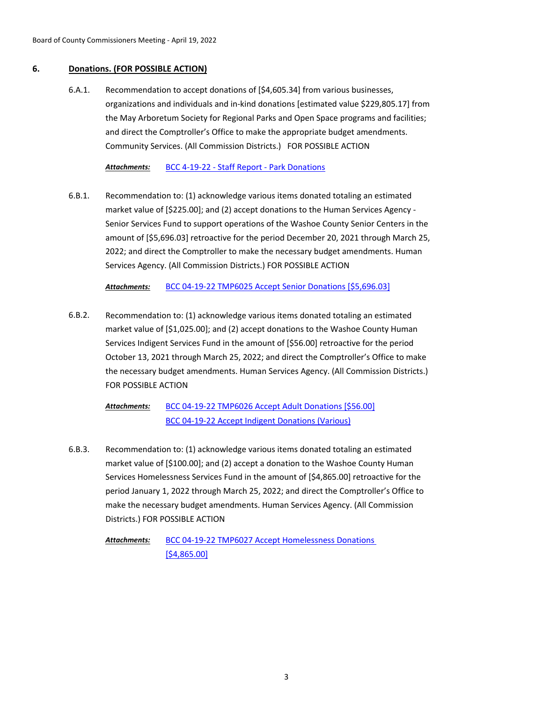# **6. Donations. (FOR POSSIBLE ACTION)**

Recommendation to accept donations of [\$4,605.34] from various businesses, organizations and individuals and in-kind donations [estimated value \$229,805.17] from the May Arboretum Society for Regional Parks and Open Space programs and facilities; and direct the Comptroller's Office to make the appropriate budget amendments. Community Services. (All Commission Districts.) FOR POSSIBLE ACTION 6.A.1.

*Attachments:* [BCC 4-19-22 - Staff Report - Park Donations](http://washoe-nv.legistar.com/gateway.aspx?M=F&ID=36a88600-cf75-438a-970c-89e5f7e4b19b.doc)

Recommendation to: (1) acknowledge various items donated totaling an estimated market value of [\$225.00]; and (2) accept donations to the Human Services Agency - Senior Services Fund to support operations of the Washoe County Senior Centers in the amount of [\$5,696.03] retroactive for the period December 20, 2021 through March 25, 2022; and direct the Comptroller to make the necessary budget amendments. Human Services Agency. (All Commission Districts.) FOR POSSIBLE ACTION 6.B.1.

# *Attachments:* [BCC 04-19-22 TMP6025 Accept Senior Donations \[\\$5,696.03\]](http://washoe-nv.legistar.com/gateway.aspx?M=F&ID=8d0643b2-b7d2-42e3-ba1f-295db945a746.docx)

Recommendation to: (1) acknowledge various items donated totaling an estimated market value of [\$1,025.00]; and (2) accept donations to the Washoe County Human Services Indigent Services Fund in the amount of [\$56.00] retroactive for the period October 13, 2021 through March 25, 2022; and direct the Comptroller's Office to make the necessary budget amendments. Human Services Agency. (All Commission Districts.) FOR POSSIBLE ACTION 6.B.2.

> [BCC 04-19-22 TMP6026 Accept Adult Donations \[\\$56.00\]](http://washoe-nv.legistar.com/gateway.aspx?M=F&ID=f37b6fc7-a365-4d2a-996f-df9058ee6a5d.docx) [BCC 04-19-22 Accept Indigent Donations \(Various\)](http://washoe-nv.legistar.com/gateway.aspx?M=F&ID=e8374baa-9767-46e9-9a0c-b9e91e853e43.pdf) *Attachments:*

Recommendation to: (1) acknowledge various items donated totaling an estimated market value of [\$100.00]; and (2) accept a donation to the Washoe County Human Services Homelessness Services Fund in the amount of [\$4,865.00] retroactive for the period January 1, 2022 through March 25, 2022; and direct the Comptroller's Office to make the necessary budget amendments. Human Services Agency. (All Commission Districts.) FOR POSSIBLE ACTION 6.B.3.

[BCC 04-19-22 TMP6027 Accept Homelessness Donations](http://washoe-nv.legistar.com/gateway.aspx?M=F&ID=5d85e45f-6403-4ccd-8363-1dea1d8d257a.docx)  [\$4,865.00] *Attachments:*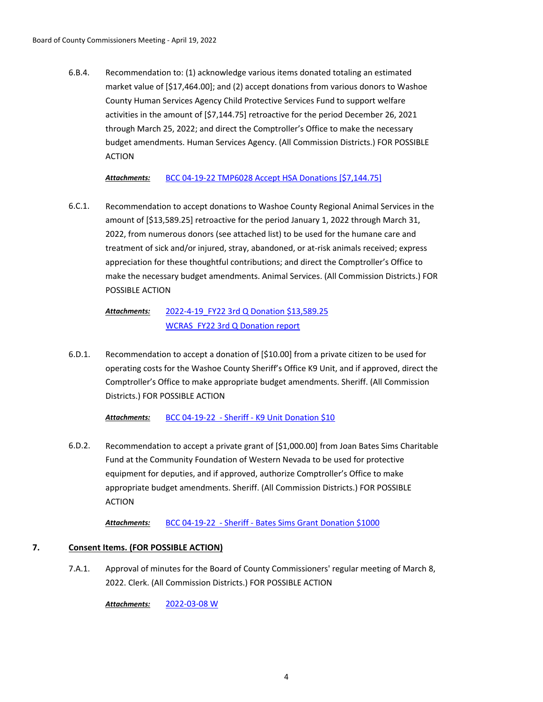Recommendation to: (1) acknowledge various items donated totaling an estimated market value of [\$17,464.00]; and (2) accept donations from various donors to Washoe County Human Services Agency Child Protective Services Fund to support welfare activities in the amount of [\$7,144.75] retroactive for the period December 26, 2021 through March 25, 2022; and direct the Comptroller's Office to make the necessary budget amendments. Human Services Agency. (All Commission Districts.) FOR POSSIBLE ACTION 6.B.4.

*Attachments:* [BCC 04-19-22 TMP6028 Accept HSA Donations \[\\$7,144.75\]](http://washoe-nv.legistar.com/gateway.aspx?M=F&ID=1ed3d2d9-6de9-45f0-9268-d747466e3717.doc)

Recommendation to accept donations to Washoe County Regional Animal Services in the amount of [\$13,589.25] retroactive for the period January 1, 2022 through March 31, 2022, from numerous donors (see attached list) to be used for the humane care and treatment of sick and/or injured, stray, abandoned, or at-risk animals received; express appreciation for these thoughtful contributions; and direct the Comptroller's Office to make the necessary budget amendments. Animal Services. (All Commission Districts.) FOR POSSIBLE ACTION 6.C.1.

#### [2022-4-19\\_FY22 3rd Q Donation \\$13,589.25](http://washoe-nv.legistar.com/gateway.aspx?M=F&ID=72a09b78-9130-413c-bfd3-9090279e3ae6.docx) [WCRAS\\_FY22 3rd Q Donation report](http://washoe-nv.legistar.com/gateway.aspx?M=F&ID=7e6ad9a2-7eb4-4bbe-ac02-b3b317c780eb.pdf) *Attachments:*

Recommendation to accept a donation of [\$10.00] from a private citizen to be used for operating costs for the Washoe County Sheriff's Office K9 Unit, and if approved, direct the Comptroller's Office to make appropriate budget amendments. Sheriff. (All Commission Districts.) FOR POSSIBLE ACTION 6.D.1.

*Attachments:* [BCC 04-19-22 - Sheriff - K9 Unit Donation \\$10](http://washoe-nv.legistar.com/gateway.aspx?M=F&ID=13251429-be46-4c08-bb2d-0b452e8494e2.doc)

Recommendation to accept a private grant of [\$1,000.00] from Joan Bates Sims Charitable Fund at the Community Foundation of Western Nevada to be used for protective equipment for deputies, and if approved, authorize Comptroller's Office to make appropriate budget amendments. Sheriff. (All Commission Districts.) FOR POSSIBLE ACTION 6.D.2.

*Attachments:* [BCC 04-19-22 - Sheriff - Bates Sims Grant Donation \\$1000](http://washoe-nv.legistar.com/gateway.aspx?M=F&ID=18a204a0-d899-40dd-b288-b9e1b6b66b80.doc)

# **7. Consent Items. (FOR POSSIBLE ACTION)**

Approval of minutes for the Board of County Commissioners' regular meeting of March 8, 2022. Clerk. (All Commission Districts.) FOR POSSIBLE ACTION 7.A.1.

*Attachments:* [2022-03-08 W](http://washoe-nv.legistar.com/gateway.aspx?M=F&ID=09f47861-762b-4c6a-9e1b-1d9f865c7cd0.pdf)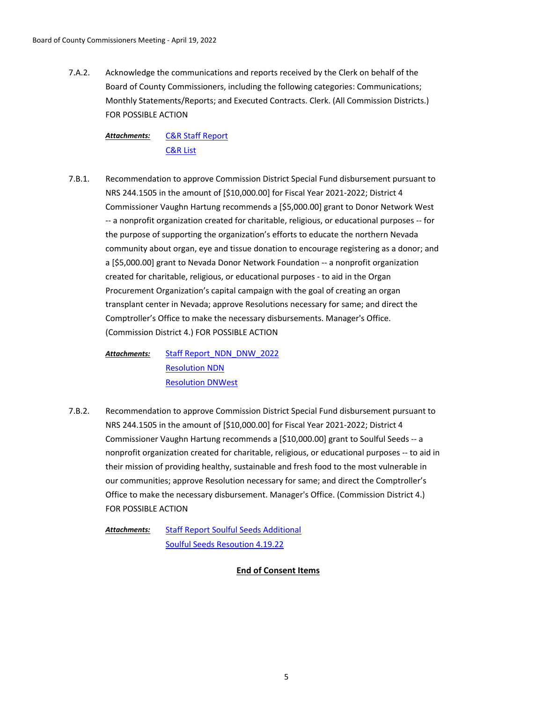Acknowledge the communications and reports received by the Clerk on behalf of the Board of County Commissioners, including the following categories: Communications; Monthly Statements/Reports; and Executed Contracts. Clerk. (All Commission Districts.) FOR POSSIBLE ACTION 7.A.2.

[C&R Staff Report](http://washoe-nv.legistar.com/gateway.aspx?M=F&ID=293732b2-fa2a-4dcb-8429-4b04eb78ea50.pdf) [C&R List](http://washoe-nv.legistar.com/gateway.aspx?M=F&ID=8207505e-65d9-4c22-b2c6-c4eab5e55f94.pdf) *Attachments:*

Recommendation to approve Commission District Special Fund disbursement pursuant to NRS 244.1505 in the amount of [\$10,000.00] for Fiscal Year 2021-2022; District 4 Commissioner Vaughn Hartung recommends a [\$5,000.00] grant to Donor Network West -- a nonprofit organization created for charitable, religious, or educational purposes -- for the purpose of supporting the organization's efforts to educate the northern Nevada community about organ, eye and tissue donation to encourage registering as a donor; and a [\$5,000.00] grant to Nevada Donor Network Foundation -- a nonprofit organization created for charitable, religious, or educational purposes - to aid in the Organ Procurement Organization's capital campaign with the goal of creating an organ transplant center in Nevada; approve Resolutions necessary for same; and direct the Comptroller's Office to make the necessary disbursements. Manager's Office. (Commission District 4.) FOR POSSIBLE ACTION 7.B.1.

[Staff Report\\_NDN\\_DNW\\_2022](http://washoe-nv.legistar.com/gateway.aspx?M=F&ID=0794d34d-e562-4a08-ae1f-cd8d7e97b35b.doc) [Resolution NDN](http://washoe-nv.legistar.com/gateway.aspx?M=F&ID=1a8d4d5a-9161-4e0b-aed9-c54e91bb5e4d.docx) [Resolution DNWest](http://washoe-nv.legistar.com/gateway.aspx?M=F&ID=9eff2340-da93-4023-a86c-754dec92633f.docx) *Attachments:*

Recommendation to approve Commission District Special Fund disbursement pursuant to NRS 244.1505 in the amount of [\$10,000.00] for Fiscal Year 2021-2022; District 4 Commissioner Vaughn Hartung recommends a [\$10,000.00] grant to Soulful Seeds -- a nonprofit organization created for charitable, religious, or educational purposes -- to aid in their mission of providing healthy, sustainable and fresh food to the most vulnerable in our communities; approve Resolution necessary for same; and direct the Comptroller's Office to make the necessary disbursement. Manager's Office. (Commission District 4.) FOR POSSIBLE ACTION 7.B.2.

[Staff Report Soulful Seeds Additional](http://washoe-nv.legistar.com/gateway.aspx?M=F&ID=2195163f-8b68-4751-88b3-5fec4fa5c72c.doc) [Soulful Seeds Resoution 4.19.22](http://washoe-nv.legistar.com/gateway.aspx?M=F&ID=87dbbe04-a94d-4191-87de-6a5a23a5568c.docx) *Attachments:*

**End of Consent Items**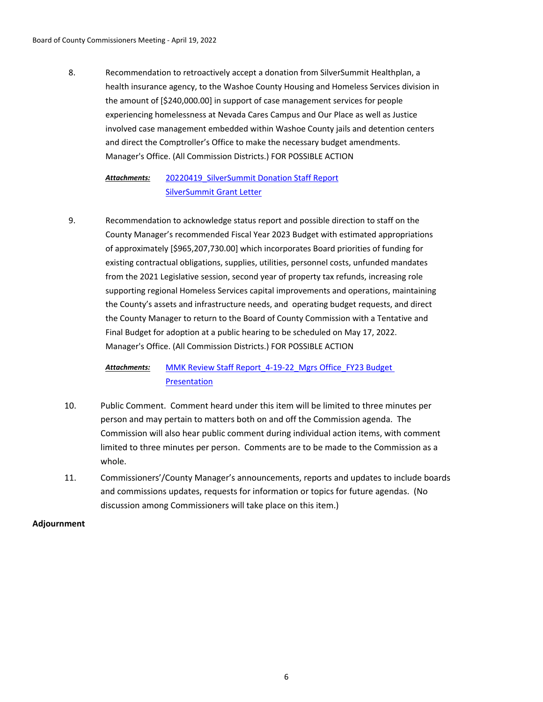Recommendation to retroactively accept a donation from SilverSummit Healthplan, a health insurance agency, to the Washoe County Housing and Homeless Services division in the amount of [\$240,000.00] in support of case management services for people experiencing homelessness at Nevada Cares Campus and Our Place as well as Justice involved case management embedded within Washoe County jails and detention centers and direct the Comptroller's Office to make the necessary budget amendments. Manager's Office. (All Commission Districts.) FOR POSSIBLE ACTION 8.

#### 20220419 SilverSummit Donation Staff Report [SilverSummit Grant Letter](http://washoe-nv.legistar.com/gateway.aspx?M=F&ID=a254c18c-41cc-40db-9576-a7ab8a4f7df2.pdf) *Attachments:*

Recommendation to acknowledge status report and possible direction to staff on the County Manager's recommended Fiscal Year 2023 Budget with estimated appropriations of approximately [\$965,207,730.00] which incorporates Board priorities of funding for existing contractual obligations, supplies, utilities, personnel costs, unfunded mandates from the 2021 Legislative session, second year of property tax refunds, increasing role supporting regional Homeless Services capital improvements and operations, maintaining the County's assets and infrastructure needs, and operating budget requests, and direct the County Manager to return to the Board of County Commission with a Tentative and Final Budget for adoption at a public hearing to be scheduled on May 17, 2022. Manager's Office. (All Commission Districts.) FOR POSSIBLE ACTION 9.

#### MMK Review Staff Report 4-19-22 Mgrs Office FY23 Budget Presentation *Attachments:*

- 10. Public Comment. Comment heard under this item will be limited to three minutes per person and may pertain to matters both on and off the Commission agenda. The Commission will also hear public comment during individual action items, with comment limited to three minutes per person. Comments are to be made to the Commission as a whole.
- 11. Commissioners'/County Manager's announcements, reports and updates to include boards and commissions updates, requests for information or topics for future agendas. (No discussion among Commissioners will take place on this item.)

## **Adjournment**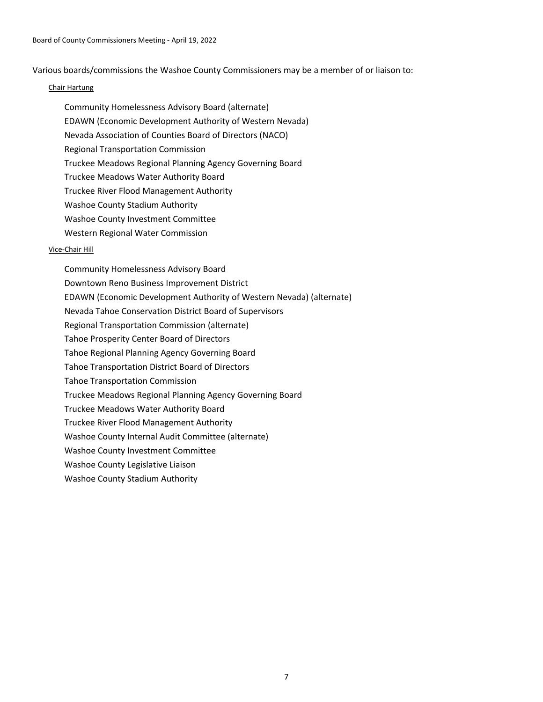Various boards/commissions the Washoe County Commissioners may be a member of or liaison to:

### Chair Hartung

- Community Homelessness Advisory Board (alternate)
- EDAWN (Economic Development Authority of Western Nevada)
- Nevada Association of Counties Board of Directors (NACO)
- Regional Transportation Commission
- Truckee Meadows Regional Planning Agency Governing Board
- Truckee Meadows Water Authority Board
- Truckee River Flood Management Authority
- Washoe County Stadium Authority
- Washoe County Investment Committee
- Western Regional Water Commission

## Vice-Chair Hill

Community Homelessness Advisory Board Downtown Reno Business Improvement District EDAWN (Economic Development Authority of Western Nevada) (alternate) Nevada Tahoe Conservation District Board of Supervisors Regional Transportation Commission (alternate) Tahoe Prosperity Center Board of Directors Tahoe Regional Planning Agency Governing Board Tahoe Transportation District Board of Directors Tahoe Transportation Commission Truckee Meadows Regional Planning Agency Governing Board Truckee Meadows Water Authority Board Truckee River Flood Management Authority Washoe County Internal Audit Committee (alternate) Washoe County Investment Committee Washoe County Legislative Liaison Washoe County Stadium Authority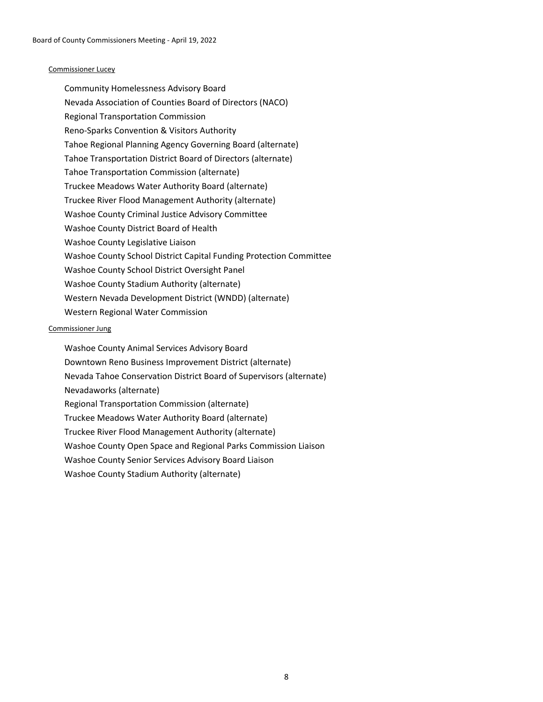### Commissioner Lucey

Community Homelessness Advisory Board Nevada Association of Counties Board of Directors (NACO) Regional Transportation Commission Reno-Sparks Convention & Visitors Authority Tahoe Regional Planning Agency Governing Board (alternate) Tahoe Transportation District Board of Directors (alternate) Tahoe Transportation Commission (alternate) Truckee Meadows Water Authority Board (alternate) Truckee River Flood Management Authority (alternate) Washoe County Criminal Justice Advisory Committee Washoe County District Board of Health Washoe County Legislative Liaison Washoe County School District Capital Funding Protection Committee Washoe County School District Oversight Panel Washoe County Stadium Authority (alternate) Western Nevada Development District (WNDD) (alternate) Western Regional Water Commission

## Commissioner Jung

Washoe County Animal Services Advisory Board Downtown Reno Business Improvement District (alternate) Nevada Tahoe Conservation District Board of Supervisors (alternate) Nevadaworks (alternate) Regional Transportation Commission (alternate) Truckee Meadows Water Authority Board (alternate) Truckee River Flood Management Authority (alternate) Washoe County Open Space and Regional Parks Commission Liaison Washoe County Senior Services Advisory Board Liaison Washoe County Stadium Authority (alternate)